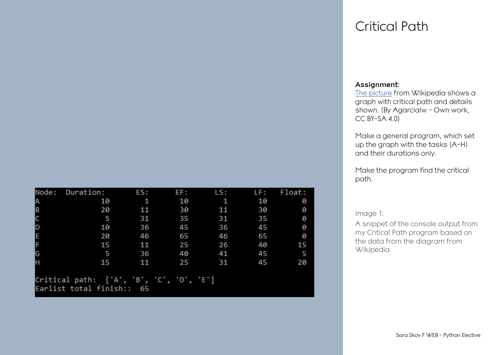| Node:  | Duration:                                | ES:          | EF: | LS:          | LF: | Float: |
|--------|------------------------------------------|--------------|-----|--------------|-----|--------|
|        | 10                                       | $\mathbf{1}$ | 10  | $\mathbf{1}$ | 10  | 0      |
| A<br>B | 20                                       | 11           | 30  | 11           | 30  | 0      |
| C      | 5                                        | 31           | 35  | 31           | 35  | 0      |
| þ      | 10                                       | 36           | 45  | 36           | 45  | 0      |
| E<br>F | 20                                       | 46           | 65  | 46           | 65  | 0      |
|        | 15                                       | 11           | 25  | 26           | 40  | 15     |
| G      | 5                                        | 36           | 40  | 41           | 45  | 5      |
| H      | 15                                       | 11           | 25  | 31           | 45  | 20     |
|        |                                          |              |     |              |     |        |
|        | Critical path: ['A', 'B', 'C', 'D', 'E'] |              |     |              |     |        |

## Critical Path

### **Assignment:**

[The picture](https://commons.wikimedia.org/w/index.php?curid=95455697) from Wikipedia shows a graph with critical path and details shown. (By Agarcialw - Own work,  $CC$  BY-SA  $4.0$ 

Make a general program, which set up the graph with the tasks (A-H) and their durations only.

Make the program find the critical path.

### Image 1:

A snippet of the console output from my Critical Path program based on the data from the diagram from Wikipedia.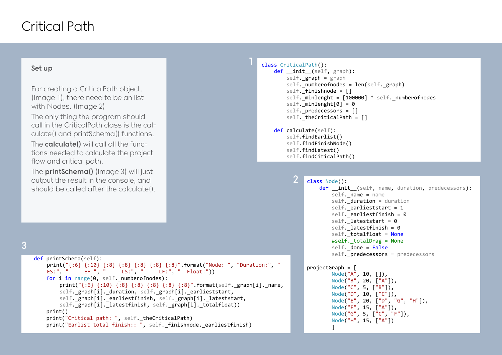## Critical Path

### **Set up**

For creating a CriticalPath object, (Image 1), there need to be an list with Nodes. (Image 2)

The only thing the program should call in the CriticalPath class is the calculate() and printSchema() functions.

The **calculate()** will call all the functions needed to calculate the project flow and critical path.

The **printSchema()** (Image 3) will just output the result in the console, and should be called after the calculate().

### class CriticalPath():

```
def init (self, graph):
  self. graph = graphself. numberofnodes = len(self. graph)
  self. finishnode = []
  self. minlenght = [100000] * self. numberofnodes
  self. minlength[0] = 0self. predecessors = []
  self. theCriticalPath = []
```
#### def calculate(self): self.findEarlist()

**2**

```
 self.findFinishNode()
self.findLatest()
self.findCiticalPath()
```

```
3
```
 $S_{\rm eff}$  ,  $S_{\rm eff}$  ,  $S_{\rm eff}$  ,  $S_{\rm eff}$  ,  $S_{\rm eff}$  ,  $S_{\rm eff}$  ,  $S_{\rm eff}$  ,  $S_{\rm eff}$  ,  $S_{\rm eff}$ 

```
 def printSchema(self):
   print("{:6} {:10} {:8} {:8} {:8} {:8} {:8}".format("Node: ", "Duration:", " 
   ES:", " EF:", " LS:", " LF:", " Float:"))
   for i in range(0, self. numberofnodes):
       print("{:6} {:10} {:8} {:8} {:8} {:8} {:8}". format(self. graph[i]. name,
       self. graph[i]. duration, self. graph[i]. earlieststart,
       self. graph[i]. earliestfinish, self. graph[i]. lateststart,
       self. graph[i]. latestfinish, self. graph[i]. totalfloat))
    print()
   print("Critical path: ", self. theCriticalPath)
  print("Earlist total finish:: ", self. finishnode. earliestfinish)
```

```
class Node():
   def init (self, name, duration, predecessors):
       self. name = name
       self. duration = duration
       self. earlieststart = 1
       self. earliestfinish = 0
       self. lateststart = 0
       self. latestfinish = 0self. totalfloat = None
        #self._totalDrag = None
       self. done = False
       self. predecessors = predecessors
```

```
projectGraph = [
```
 Node("A", 10, []), Node("B", 20, ["A"]), Node("C", 5, ["B"]), Node("D", 10, ["C"]), Node("E", 20, ["D", "G", "H"]), Node("F", 15, ["A"]), Node("G", 5, ["C", "F"]), Node("H", 15, ["A"]) ]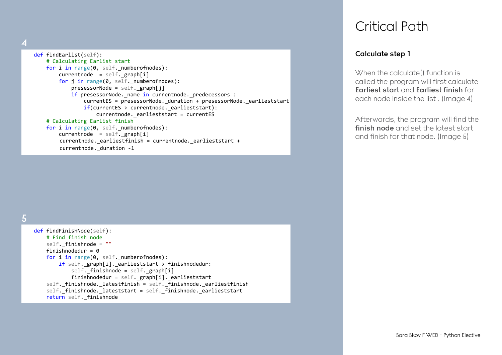**4**

#### def findEarlist(self): # Calculating Earlist start for i in range(0, self. numberofnodes):  $currentnode = self. graph[i]$  for j in range(0, self.\_numberofnodes): presessorNode =  $self.$  graph[j] if presessorNode.\_name in currentnode.\_predecessors : currentES = presessorNode. duration + presessorNode. earlieststart if(currentES > currentnode. earlieststart):  $currentnode.$  earlieststart = currentES # Calculating Earlist finish for i in range(0, self. numberofnodes):  $currentnode = self._graph[i]$ currentnode.\_earliestfinish = currentnode.\_earlieststart + currentnode. duration -1

**5**

| def findFinishNode(self):                                         |
|-------------------------------------------------------------------|
| # Find finish node                                                |
| $self.$ finishnode = $"$                                          |
| finishnodedur = $\theta$                                          |
| for i in range(0, self. numberofnodes):                           |
| if self. $graph[i]$ . earlieststart > finishnodedur:              |
| self. finishnode = self. graph[i]                                 |
| finishnodedur = $self.$ graph[i]. earlieststart                   |
| self. finishnode. latestfinish = self. finishnode. earliestfinish |
| self. finishnode. lateststart = self. finishnode. earlieststart   |
| return self. finishnode                                           |
|                                                                   |

## Critical Path

## **Calculate step 1**

When the calculate() function is called the program will first calculate **Earliest start** and **Earliest finish** for each node inside the list. (Image 4)

Afterwards, the program will find the **finish node** and set the latest start and finish for that node. (Image 5)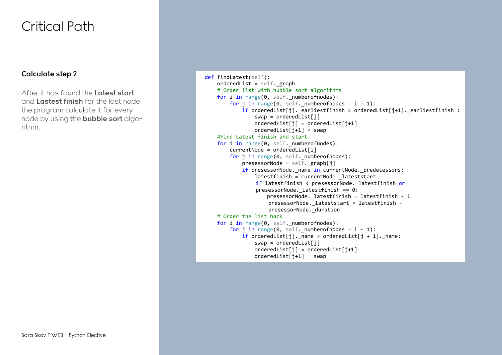## Critical Path

## **Calculate step 2**

After it has found the **Latest start**  and **Lastest finish** for the last node, the program calculate it for every node by using the **bubble sort** algorithm.

```
 def findLatest(self):
   orderedList = self. graph
    # Order list with bubble sort algorithms
  for i in range(0, self. numberofnodes):
      for j in range(0, self. numberofnodes - i - 1):
           if orderedList[j]. earliestfinish < orderedList[j+1]. earliestfinish :
               swap = orderedList[j]orderedList[j] = orderedList[j+1]orderedList[i+1] = swap #Find Latest finish and start
   for i in range(0, self. numberofnodes):
       currentNode = orderedList[i]for j in range(0, self. numberofnodes):
           presessorNode = self. graph[j]if presessorNode. name in currentNode. predecessors:
               latestfinish = currentNode. lateststart
               if latestfinish < presessorNode. latestfinish or
               presessorNode._latestfinish == 0:
                    presessorNode._latestfinish = latestfinish - 1
                   presessorNode._lateststart = latestfinish -
                   presessorNode._duration
    # Order the list back
   for i in range(0, self. numberofnodes):
      for j in range(0, self. numberofnodes - i - 1):
          if orderedList[j]._name > orderedList[j + 1]._name:
               swap = orderedList[j]orderedList[i] = orderedList[i+1]orderedList[i+1] = swap
```